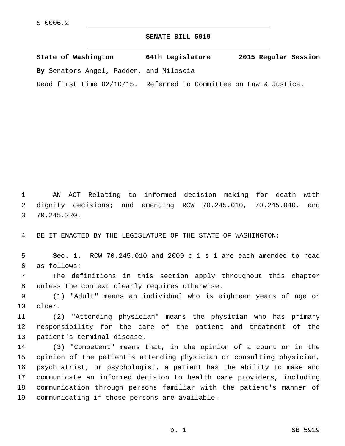## **SENATE BILL 5919**

| State of Washington                     | 64th Legislature                        | 2015 Regular Session |
|-----------------------------------------|-----------------------------------------|----------------------|
| By Senators Angel, Padden, and Miloscia |                                         |                      |
| Read first time $02/10/15$ .            | Referred to Committee on Law & Justice. |                      |

1 AN ACT Relating to informed decision making for death with 2 dignity decisions; and amending RCW 70.245.010, 70.245.040, and 70.245.220.3

4 BE IT ENACTED BY THE LEGISLATURE OF THE STATE OF WASHINGTON:

5 **Sec. 1.** RCW 70.245.010 and 2009 c 1 s 1 are each amended to read as follows:6

7 The definitions in this section apply throughout this chapter 8 unless the context clearly requires otherwise.

9 (1) "Adult" means an individual who is eighteen years of age or 10 older.

11 (2) "Attending physician" means the physician who has primary 12 responsibility for the care of the patient and treatment of the 13 patient's terminal disease.

 (3) "Competent" means that, in the opinion of a court or in the opinion of the patient's attending physician or consulting physician, psychiatrist, or psychologist, a patient has the ability to make and communicate an informed decision to health care providers, including communication through persons familiar with the patient's manner of 19 communicating if those persons are available.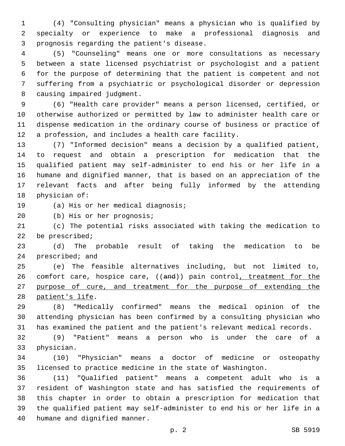(4) "Consulting physician" means a physician who is qualified by specialty or experience to make a professional diagnosis and 3 prognosis regarding the patient's disease.

 (5) "Counseling" means one or more consultations as necessary between a state licensed psychiatrist or psychologist and a patient for the purpose of determining that the patient is competent and not suffering from a psychiatric or psychological disorder or depression 8 causing impaired judgment.

 (6) "Health care provider" means a person licensed, certified, or otherwise authorized or permitted by law to administer health care or dispense medication in the ordinary course of business or practice of a profession, and includes a health care facility.

 (7) "Informed decision" means a decision by a qualified patient, to request and obtain a prescription for medication that the qualified patient may self-administer to end his or her life in a humane and dignified manner, that is based on an appreciation of the relevant facts and after being fully informed by the attending 18 physician of:

19 (a) His or her medical diagnosis;

20 (b) His or her prognosis;

 (c) The potential risks associated with taking the medication to 22 be prescribed;

 (d) The probable result of taking the medication to be 24 prescribed; and

 (e) The feasible alternatives including, but not limited to, 26 comfort care, hospice care, ((and)) pain control, treatment for the purpose of cure, and treatment for the purpose of extending the 28 patient's life.

 (8) "Medically confirmed" means the medical opinion of the attending physician has been confirmed by a consulting physician who has examined the patient and the patient's relevant medical records.

 (9) "Patient" means a person who is under the care of a 33 physician.

 (10) "Physician" means a doctor of medicine or osteopathy licensed to practice medicine in the state of Washington.

 (11) "Qualified patient" means a competent adult who is a resident of Washington state and has satisfied the requirements of this chapter in order to obtain a prescription for medication that the qualified patient may self-administer to end his or her life in a 40 humane and dignified manner.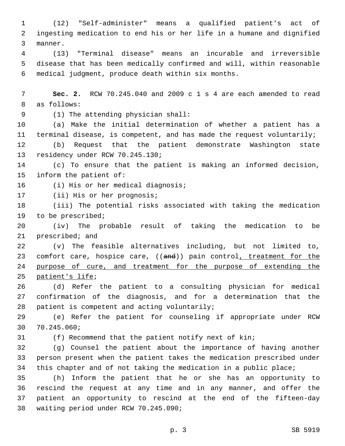1 (12) "Self-administer" means a qualified patient's act of 2 ingesting medication to end his or her life in a humane and dignified 3 manner.

4 (13) "Terminal disease" means an incurable and irreversible 5 disease that has been medically confirmed and will, within reasonable medical judgment, produce death within six months.6

7 **Sec. 2.** RCW 70.245.040 and 2009 c 1 s 4 are each amended to read 8 as follows:

(1) The attending physician shall:9

10 (a) Make the initial determination of whether a patient has a 11 terminal disease, is competent, and has made the request voluntarily;

12 (b) Request that the patient demonstrate Washington state 13 residency under RCW 70.245.130;

14 (c) To ensure that the patient is making an informed decision, 15 inform the patient of:

16 (i) His or her medical diagnosis;

17 (ii) His or her prognosis;

18 (iii) The potential risks associated with taking the medication 19 to be prescribed;

20 (iv) The probable result of taking the medication to be 21 prescribed; and

22 (v) The feasible alternatives including, but not limited to, 23 comfort care, hospice care, ((and)) pain control, treatment for the 24 purpose of cure, and treatment for the purpose of extending the 25 patient's life;

26 (d) Refer the patient to a consulting physician for medical 27 confirmation of the diagnosis, and for a determination that the 28 patient is competent and acting voluntarily;

29 (e) Refer the patient for counseling if appropriate under RCW 30 70.245.060;

31 (f) Recommend that the patient notify next of kin;

32 (g) Counsel the patient about the importance of having another 33 person present when the patient takes the medication prescribed under 34 this chapter and of not taking the medication in a public place;

 (h) Inform the patient that he or she has an opportunity to rescind the request at any time and in any manner, and offer the patient an opportunity to rescind at the end of the fifteen-day 38 waiting period under RCW 70.245.090;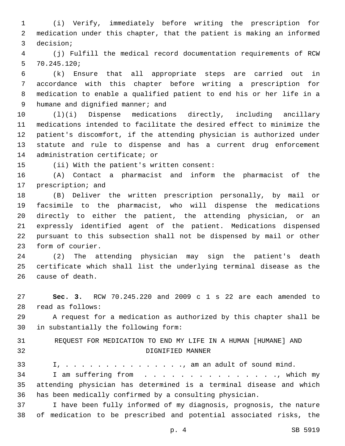(i) Verify, immediately before writing the prescription for medication under this chapter, that the patient is making an informed 3 decision;

 (j) Fulfill the medical record documentation requirements of RCW 70.245.120;

 (k) Ensure that all appropriate steps are carried out in accordance with this chapter before writing a prescription for medication to enable a qualified patient to end his or her life in a 9 humane and dignified manner; and

 (l)(i) Dispense medications directly, including ancillary medications intended to facilitate the desired effect to minimize the patient's discomfort, if the attending physician is authorized under statute and rule to dispense and has a current drug enforcement 14 administration certificate; or

15 (ii) With the patient's written consent:

 (A) Contact a pharmacist and inform the pharmacist of the 17 prescription; and

 (B) Deliver the written prescription personally, by mail or facsimile to the pharmacist, who will dispense the medications directly to either the patient, the attending physician, or an expressly identified agent of the patient. Medications dispensed pursuant to this subsection shall not be dispensed by mail or other 23 form of courier.

 (2) The attending physician may sign the patient's death certificate which shall list the underlying terminal disease as the 26 cause of death.

 **Sec. 3.** RCW 70.245.220 and 2009 c 1 s 22 are each amended to read as follows:28

 A request for a medication as authorized by this chapter shall be 30 in substantially the following form:

 REQUEST FOR MEDICATION TO END MY LIFE IN A HUMAN [HUMANE] AND 32 DIGNIFIED MANNER

I, . . . . . . . . . . . . . . ., am an adult of sound mind.

34 I am suffering from . . . . . . . . . . . . . . . , which my attending physician has determined is a terminal disease and which has been medically confirmed by a consulting physician.

 I have been fully informed of my diagnosis, prognosis, the nature of medication to be prescribed and potential associated risks, the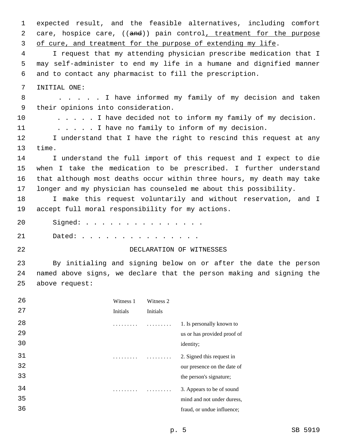1 expected result, and the feasible alternatives, including comfort 2 care, hospice care, ((and)) pain control, treatment for the purpose 3 of cure, and treatment for the purpose of extending my life. 4 I request that my attending physician prescribe medication that I 5 may self-administer to end my life in a humane and dignified manner 6 and to contact any pharmacist to fill the prescription. 7 INITIAL ONE: 8 . . . . . I have informed my family of my decision and taken 9 their opinions into consideration. 10 . . . . . I have decided not to inform my family of my decision. 11 . . . . . I have no family to inform of my decision. 12 I understand that I have the right to rescind this request at any 13 time. 14 I understand the full import of this request and I expect to die 15 when I take the medication to be prescribed. I further understand 16 that although most deaths occur within three hours, my death may take 17 longer and my physician has counseled me about this possibility. 18 I make this request voluntarily and without reservation, and I 19 accept full moral responsibility for my actions. Signed: . . . . . . . . . . . . . . .20 Dated: . . . . . . . . . . . . . . .21 22 DECLARATION OF WITNESSES 23 By initialing and signing below on or after the date the person 24 named above signs, we declare that the person making and signing the 25 above request: 26 27 Witness 1 Initials Witness 2 Initials 28 29 30  $\ldots$  . . . . . . . . . . . . . . . 1. Is personally known to us or has provided proof of identity; 31 32 33 . . . . . . . . . . . . . . . . . . 2. Signed this request in our presence on the date of the person's signature; 34 35 36 . . . . . . . . . . . . . . . . . . 3. Appears to be of sound mind and not under duress, fraud, or undue influence;